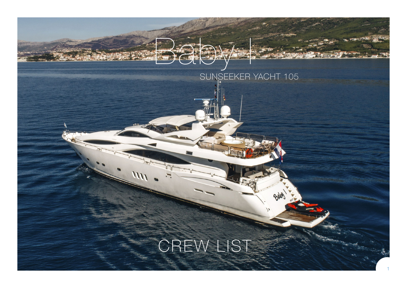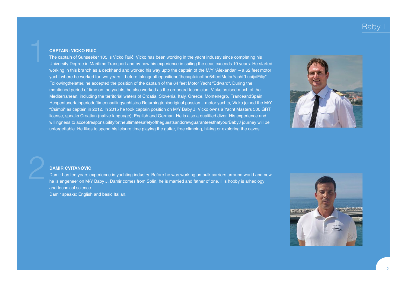# Kaby

### **CAPTAIN: VICKO RUIC**

The captain of Sunseeker 105 is Vicko Ruić. Vicko has been working in the yacht industry since completing his University Degree in Maritime Transport and by now his experience in sailing the seas exceeds 10 years. He started working in this branch as a deckhand and worked his way upto the captain of the M/Y "Alexandar" – a 62 feet motor yacht where he worked for two years – before takingupthepositionofthecaptainofthe64feetMotorYacht"LucijaiFilip". Followingthelatter, he accepted the position of the captain of the 64 feet Motor Yacht "Edward". During the mentioned period of time on the yachts, he also worked as the on-board technician. Vicko cruised much of the Mediterranean, including the territorial waters of Croatia, Slovenia, Italy, Greece, Montenegro, FranceandSpain. Hespentacertainperiodoftimeonsailingyachtstoo.Returningtohisoriginal passion – motor yachts, Vicko joined the M/Y "Csimbi" as captain in 2012. In 2015 he took captain position on M/Y Baby J. Vicko owns a Yacht Masters 500 GRT license, speaks Croatian (native language), English and German. He is also a qualified diver. His experience and willingness to acceptresponsibilityfortheultimatesafetyoftheguestsandcrewguaranteesthatyourBabyJ journey will be unforgettable. He likes to spend his leisure time playing the guitar, free climbing, hiking or exploring the caves.



#### **DAMIR CVITANOVIC**

Damir has ten years experience in yachting industry. Before he was working on bulk carriers arround world and now he is engeneer on M/Y Baby J. Damir comes from Solin, he is married and father of one. His hobby is arheology and technical science.

Damir speaks: English and basic Italian.

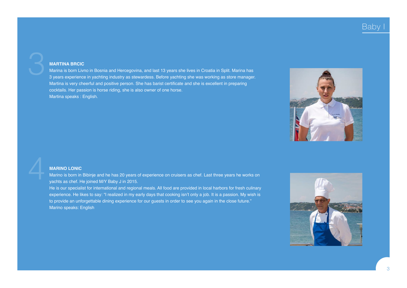## Baby

### **MARTINA BRCIC**

Marina is born Livno in Bosnia and Hercegovina, and last 13 years she lives in Croatia in Split. Marina has 3 years experience in yachting industry as stewardess. Before yachting she was working as store manager. Martina is very cheerful and positive person. She has barist certificate and she is excellent in preparing cocktails. Her passion is horse riding, she is also owner of one horse. Martina speaks : English.



#### **MARINO LONIC**

Marino is born in Bibinje and he has 20 years of experience on cruisers as chef. Last three years he works on yachts as chef. He joined M/Y Baby J in 2015.

He is our specialist for international and regional meals. All food are provided in local harbors for fresh culinary experience. He likes to say: "I realized in my early days that cooking isn't only a job. It is a passion. My wish is to provide an unforgettable dining experience for our guests in order to see you again in the close future." Marino speaks: English